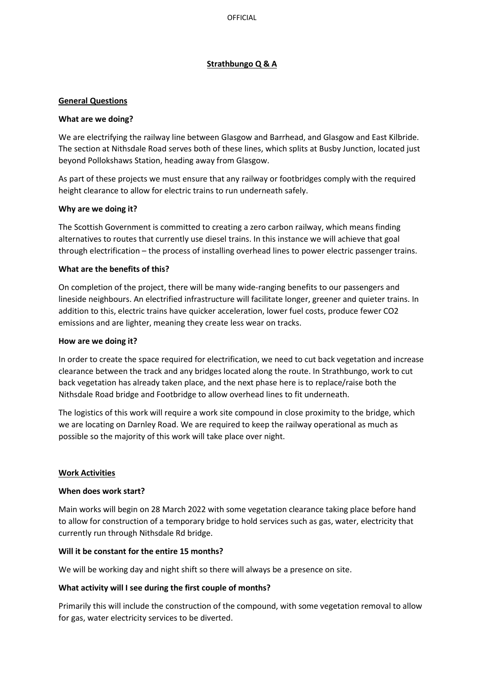## **Strathbungo Q & A**

### **General Questions**

### **What are we doing?**

We are electrifying the railway line between Glasgow and Barrhead, and Glasgow and East Kilbride. The section at Nithsdale Road serves both of these lines, which splits at Busby Junction, located just beyond Pollokshaws Station, heading away from Glasgow.

As part of these projects we must ensure that any railway or footbridges comply with the required height clearance to allow for electric trains to run underneath safely.

### **Why are we doing it?**

The Scottish Government is committed to creating a zero carbon railway, which means finding alternatives to routes that currently use diesel trains. In this instance we will achieve that goal through electrification – the process of installing overhead lines to power electric passenger trains.

### **What are the benefits of this?**

On completion of the project, there will be many wide-ranging benefits to our passengers and lineside neighbours. An electrified infrastructure will facilitate longer, greener and quieter trains. In addition to this, electric trains have quicker acceleration, lower fuel costs, produce fewer CO2 emissions and are lighter, meaning they create less wear on tracks.

### **How are we doing it?**

In order to create the space required for electrification, we need to cut back vegetation and increase clearance between the track and any bridges located along the route. In Strathbungo, work to cut back vegetation has already taken place, and the next phase here is to replace/raise both the Nithsdale Road bridge and Footbridge to allow overhead lines to fit underneath.

The logistics of this work will require a work site compound in close proximity to the bridge, which we are locating on Darnley Road. We are required to keep the railway operational as much as possible so the majority of this work will take place over night.

### **Work Activities**

#### **When does work start?**

Main works will begin on 28 March 2022 with some vegetation clearance taking place before hand to allow for construction of a temporary bridge to hold services such as gas, water, electricity that currently run through Nithsdale Rd bridge.

#### **Will it be constant for the entire 15 months?**

We will be working day and night shift so there will always be a presence on site.

### **What activity will I see during the first couple of months?**

Primarily this will include the construction of the compound, with some vegetation removal to allow for gas, water electricity services to be diverted.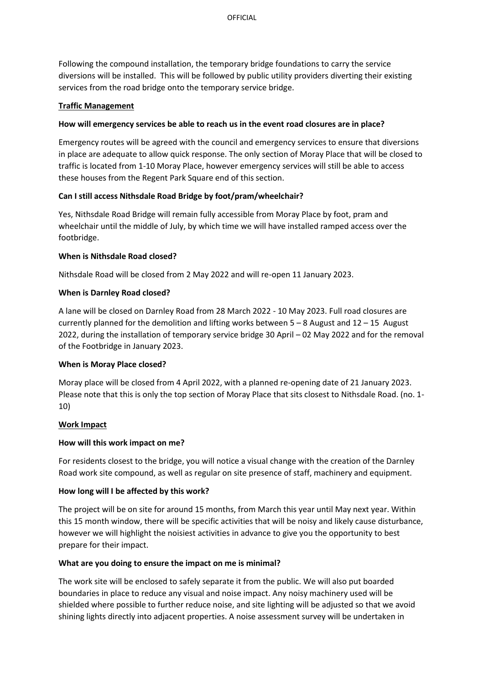Following the compound installation, the temporary bridge foundations to carry the service diversions will be installed. This will be followed by public utility providers diverting their existing services from the road bridge onto the temporary service bridge.

## **Traffic Management**

# **How will emergency services be able to reach us in the event road closures are in place?**

Emergency routes will be agreed with the council and emergency services to ensure that diversions in place are adequate to allow quick response. The only section of Moray Place that will be closed to traffic is located from 1-10 Moray Place, however emergency services will still be able to access these houses from the Regent Park Square end of this section.

# **Can I still access Nithsdale Road Bridge by foot/pram/wheelchair?**

Yes, Nithsdale Road Bridge will remain fully accessible from Moray Place by foot, pram and wheelchair until the middle of July, by which time we will have installed ramped access over the footbridge.

# **When is Nithsdale Road closed?**

Nithsdale Road will be closed from 2 May 2022 and will re-open 11 January 2023.

# **When is Darnley Road closed?**

A lane will be closed on Darnley Road from 28 March 2022 - 10 May 2023. Full road closures are currently planned for the demolition and lifting works between  $5 - 8$  August and  $12 - 15$  August 2022, during the installation of temporary service bridge 30 April – 02 May 2022 and for the removal of the Footbridge in January 2023.

### **When is Moray Place closed?**

Moray place will be closed from 4 April 2022, with a planned re-opening date of 21 January 2023. Please note that this is only the top section of Moray Place that sits closest to Nithsdale Road. (no. 1- 10)

### **Work Impact**

### **How will this work impact on me?**

For residents closest to the bridge, you will notice a visual change with the creation of the Darnley Road work site compound, as well as regular on site presence of staff, machinery and equipment.

# **How long will I be affected by this work?**

The project will be on site for around 15 months, from March this year until May next year. Within this 15 month window, there will be specific activities that will be noisy and likely cause disturbance, however we will highlight the noisiest activities in advance to give you the opportunity to best prepare for their impact.

# **What are you doing to ensure the impact on me is minimal?**

The work site will be enclosed to safely separate it from the public. We will also put boarded boundaries in place to reduce any visual and noise impact. Any noisy machinery used will be shielded where possible to further reduce noise, and site lighting will be adjusted so that we avoid shining lights directly into adjacent properties. A noise assessment survey will be undertaken in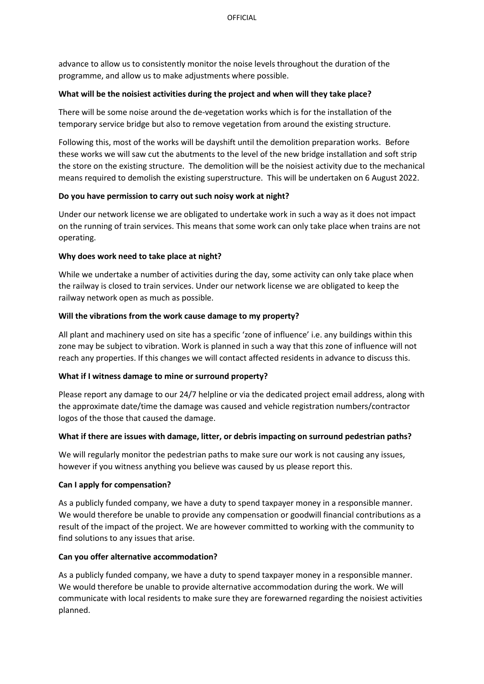advance to allow us to consistently monitor the noise levels throughout the duration of the programme, and allow us to make adjustments where possible.

## **What will be the noisiest activities during the project and when will they take place?**

There will be some noise around the de-vegetation works which is for the installation of the temporary service bridge but also to remove vegetation from around the existing structure.

Following this, most of the works will be dayshift until the demolition preparation works. Before these works we will saw cut the abutments to the level of the new bridge installation and soft strip the store on the existing structure. The demolition will be the noisiest activity due to the mechanical means required to demolish the existing superstructure. This will be undertaken on 6 August 2022.

# **Do you have permission to carry out such noisy work at night?**

Under our network license we are obligated to undertake work in such a way as it does not impact on the running of train services. This means that some work can only take place when trains are not operating.

# **Why does work need to take place at night?**

While we undertake a number of activities during the day, some activity can only take place when the railway is closed to train services. Under our network license we are obligated to keep the railway network open as much as possible.

# **Will the vibrations from the work cause damage to my property?**

All plant and machinery used on site has a specific 'zone of influence' i.e. any buildings within this zone may be subject to vibration. Work is planned in such a way that this zone of influence will not reach any properties. If this changes we will contact affected residents in advance to discuss this.

### **What if I witness damage to mine or surround property?**

Please report any damage to our 24/7 helpline or via the dedicated project email address, along with the approximate date/time the damage was caused and vehicle registration numbers/contractor logos of the those that caused the damage.

### **What if there are issues with damage, litter, or debris impacting on surround pedestrian paths?**

We will regularly monitor the pedestrian paths to make sure our work is not causing any issues, however if you witness anything you believe was caused by us please report this.

### **Can I apply for compensation?**

As a publicly funded company, we have a duty to spend taxpayer money in a responsible manner. We would therefore be unable to provide any compensation or goodwill financial contributions as a result of the impact of the project. We are however committed to working with the community to find solutions to any issues that arise.

### **Can you offer alternative accommodation?**

As a publicly funded company, we have a duty to spend taxpayer money in a responsible manner. We would therefore be unable to provide alternative accommodation during the work. We will communicate with local residents to make sure they are forewarned regarding the noisiest activities planned.